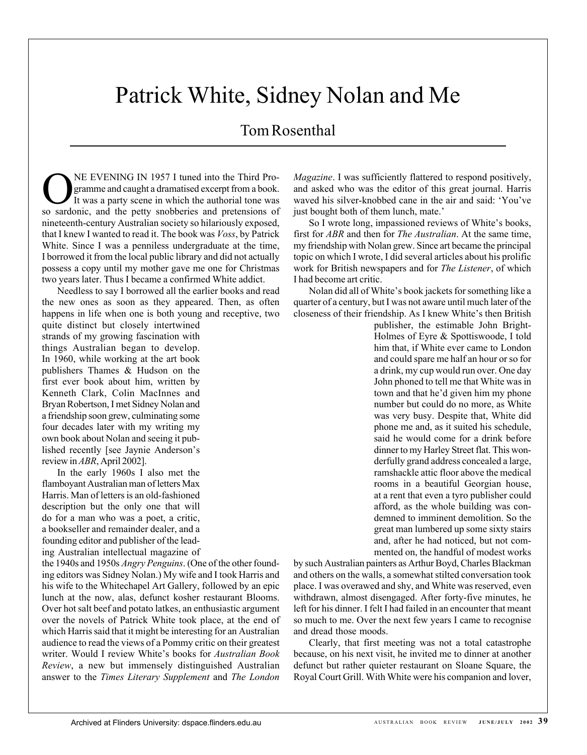# Patrick White, Sidney Nolan and Me

## Tom Rosenthal

ONE EVENING IN 1957 I tuned into the Third Programme and caught a dramatised excerpt from a book.<br>It was a party scene in which the authorial tone was gramme and caught a dramatised excerpt from a book. so sardonic, and the petty snobberies and pretensions of nineteenth-century Australian society so hilariously exposed, that I knew I wanted to read it. The book was *Voss*, by Patrick White. Since I was a penniless undergraduate at the time, I borrowed it from the local public library and did not actually possess a copy until my mother gave me one for Christmas two years later. Thus I became a confirmed White addict.

Needless to say I borrowed all the earlier books and read the new ones as soon as they appeared. Then, as often happens in life when one is both young and receptive, two

quite distinct but closely intertwined strands of my growing fascination with things Australian began to develop. In 1960, while working at the art book publishers Thames & Hudson on the first ever book about him, written by Kenneth Clark, Colin MacInnes and Bryan Robertson, I met Sidney Nolan and a friendship soon grew, culminating some four decades later with my writing my own book about Nolan and seeing it published recently [see Jaynie Anderson's review in *ABR*, April 2002].

In the early 1960s I also met the flamboyant Australian man of letters Max Harris. Man of letters is an old-fashioned description but the only one that will do for a man who was a poet, a critic, a bookseller and remainder dealer, and a founding editor and publisher of the leading Australian intellectual magazine of

the 1940s and 1950s *Angry Penguins*. (One of the other founding editors was Sidney Nolan.) My wife and I took Harris and his wife to the Whitechapel Art Gallery, followed by an epic lunch at the now, alas, defunct kosher restaurant Blooms. Over hot salt beef and potato latkes, an enthusiastic argument over the novels of Patrick White took place, at the end of which Harris said that it might be interesting for an Australian audience to read the views of a Pommy critic on their greatest writer. Would I review White's books for *Australian Book Review*, a new but immensely distinguished Australian answer to the *Times Literary Supplement* and *The London*

*Magazine*. I was sufficiently flattered to respond positively, and asked who was the editor of this great journal. Harris waved his silver-knobbed cane in the air and said: 'You've just bought both of them lunch, mate.'

So I wrote long, impassioned reviews of White's books, first for *ABR* and then for *The Australian*. At the same time, my friendship with Nolan grew. Since art became the principal topic on which I wrote, I did several articles about his prolific work for British newspapers and for *The Listener*, of which I had become art critic.

Nolan did all of White's book jackets for something like a quarter of a century, but I was not aware until much later of the closeness of their friendship. As I knew White's then British

> publisher, the estimable John Bright-Holmes of Eyre & Spottiswoode, I told him that, if White ever came to London and could spare me half an hour or so for a drink, my cup would run over. One day John phoned to tell me that White was in town and that he'd given him my phone number but could do no more, as White was very busy. Despite that, White did phone me and, as it suited his schedule, said he would come for a drink before dinner to my Harley Street flat. This wonderfully grand address concealed a large, ramshackle attic floor above the medical rooms in a beautiful Georgian house, at a rent that even a tyro publisher could afford, as the whole building was condemned to imminent demolition. So the great man lumbered up some sixty stairs and, after he had noticed, but not commented on, the handful of modest works

by such Australian painters as Arthur Boyd, Charles Blackman and others on the walls, a somewhat stilted conversation took place. I was overawed and shy, and White was reserved, even withdrawn, almost disengaged. After forty-five minutes, he left for his dinner. I felt I had failed in an encounter that meant so much to me. Over the next few years I came to recognise and dread those moods.

Clearly, that first meeting was not a total catastrophe because, on his next visit, he invited me to dinner at another defunct but rather quieter restaurant on Sloane Square, the Royal Court Grill. With White were his companion and lover,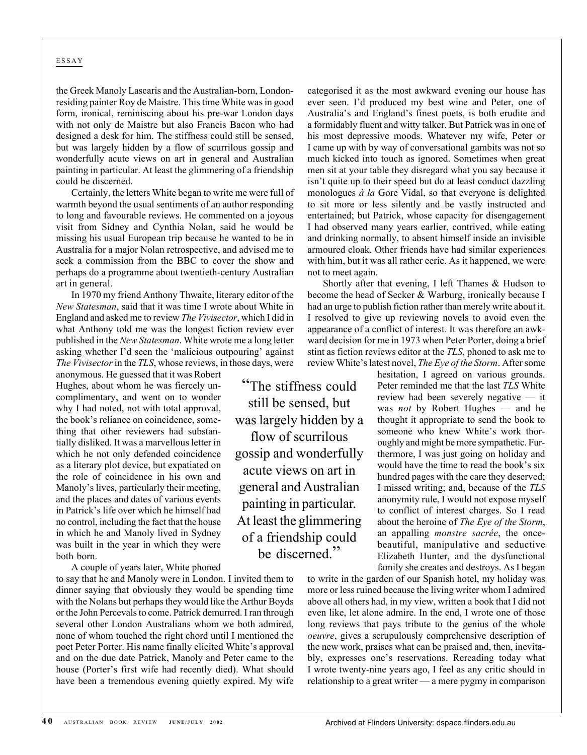### ESSAY

the Greek Manoly Lascaris and the Australian-born, Londonresiding painter Roy de Maistre. This time White was in good form, ironical, reminiscing about his pre-war London days with not only de Maistre but also Francis Bacon who had designed a desk for him. The stiffness could still be sensed, but was largely hidden by a flow of scurrilous gossip and wonderfully acute views on art in general and Australian painting in particular. At least the glimmering of a friendship could be discerned.

Certainly, the letters White began to write me were full of warmth beyond the usual sentiments of an author responding to long and favourable reviews. He commented on a joyous visit from Sidney and Cynthia Nolan, said he would be missing his usual European trip because he wanted to be in Australia for a major Nolan retrospective, and advised me to seek a commission from the BBC to cover the show and perhaps do a programme about twentieth-century Australian art in general.

In 1970 my friend Anthony Thwaite, literary editor of the *New Statesman*, said that it was time I wrote about White in England and asked me to review *The Vivisector*, which I did in what Anthony told me was the longest fiction review ever published in the *New Statesman*. White wrote me a long letter asking whether I'd seen the 'malicious outpouring' against *The Vivisector* in the *TLS*, whose reviews, in those days, were

> "The stiffness could still be sensed, but was largely hidden by a flow of scurrilous gossip and wonderfully acute views on art in general and Australian painting in particular. At least the glimmering of a friendship could be discerned."

anonymous. He guessed that it was Robert Hughes, about whom he was fiercely uncomplimentary, and went on to wonder why I had noted, not with total approval, the book's reliance on coincidence, something that other reviewers had substantially disliked. It was a marvellous letter in which he not only defended coincidence as a literary plot device, but expatiated on the role of coincidence in his own and Manoly's lives, particularly their meeting, and the places and dates of various events in Patrick's life over which he himself had no control, including the fact that the house in which he and Manoly lived in Sydney was built in the year in which they were both born.

A couple of years later, White phoned

to say that he and Manoly were in London. I invited them to dinner saying that obviously they would be spending time with the Nolans but perhaps they would like the Arthur Boyds or the John Percevals to come. Patrick demurred. I ran through several other London Australians whom we both admired, none of whom touched the right chord until I mentioned the poet Peter Porter. His name finally elicited White's approval and on the due date Patrick, Manoly and Peter came to the house (Porter's first wife had recently died). What should have been a tremendous evening quietly expired. My wife categorised it as the most awkward evening our house has ever seen. I'd produced my best wine and Peter, one of Australia's and England's finest poets, is both erudite and a formidably fluent and witty talker. But Patrick was in one of his most depressive moods. Whatever my wife, Peter or I came up with by way of conversational gambits was not so much kicked into touch as ignored. Sometimes when great men sit at your table they disregard what you say because it isn't quite up to their speed but do at least conduct dazzling monologues *à la* Gore Vidal, so that everyone is delighted to sit more or less silently and be vastly instructed and entertained; but Patrick, whose capacity for disengagement I had observed many years earlier, contrived, while eating and drinking normally, to absent himself inside an invisible armoured cloak. Other friends have had similar experiences with him, but it was all rather eerie. As it happened, we were not to meet again.

Shortly after that evening, I left Thames & Hudson to become the head of Secker & Warburg, ironically because I had an urge to publish fiction rather than merely write about it. I resolved to give up reviewing novels to avoid even the appearance of a conflict of interest. It was therefore an awkward decision for me in 1973 when Peter Porter, doing a brief stint as fiction reviews editor at the *TLS*, phoned to ask me to review White's latest novel, *The Eye of the Storm*. After some

hesitation, I agreed on various grounds. Peter reminded me that the last *TLS* White review had been severely negative — it was *not* by Robert Hughes — and he thought it appropriate to send the book to someone who knew White's work thoroughly and might be more sympathetic. Furthermore, I was just going on holiday and would have the time to read the book's six hundred pages with the care they deserved; I missed writing; and, because of the *TLS* anonymity rule, I would not expose myself to conflict of interest charges. So I read about the heroine of *The Eye of the Storm*, an appalling *monstre sacrée*, the oncebeautiful, manipulative and seductive Elizabeth Hunter, and the dysfunctional family she creates and destroys. As I began

to write in the garden of our Spanish hotel, my holiday was more or less ruined because the living writer whom I admired above all others had, in my view, written a book that I did not even like, let alone admire. In the end, I wrote one of those long reviews that pays tribute to the genius of the whole *oeuvre*, gives a scrupulously comprehensive description of the new work, praises what can be praised and, then, inevitably, expresses one's reservations. Rereading today what I wrote twenty-nine years ago, I feel as any critic should in relationship to a great writer — a mere pygmy in comparison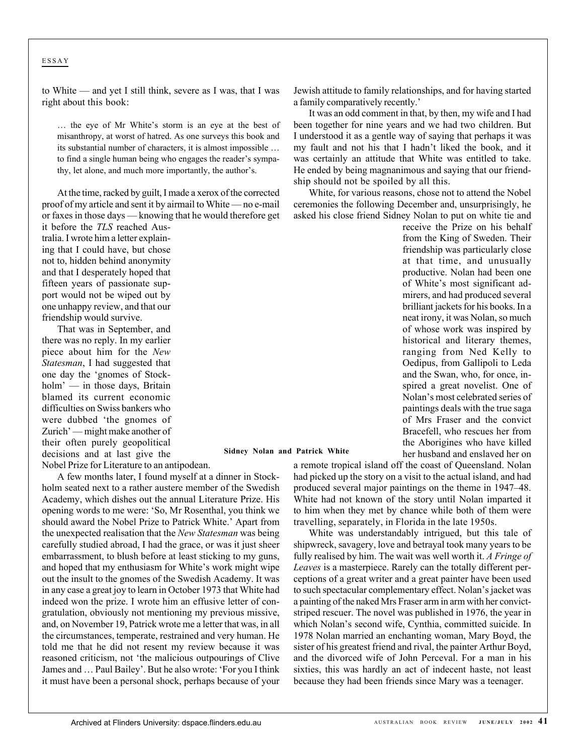#### ESSAY

to White — and yet I still think, severe as I was, that I was right about this book:

… the eye of Mr White's storm is an eye at the best of misanthropy, at worst of hatred. As one surveys this book and its substantial number of characters, it is almost impossible … to find a single human being who engages the reader's sympathy, let alone, and much more importantly, the author's.

At the time, racked by guilt, I made a xerox of the corrected proof of my article and sent it by airmail to White — no e-mail or faxes in those days — knowing that he would therefore get

it before the *TLS* reached Australia. I wrote him a letter explaining that I could have, but chose not to, hidden behind anonymity and that I desperately hoped that fifteen years of passionate support would not be wiped out by one unhappy review, and that our friendship would survive.

That was in September, and there was no reply. In my earlier piece about him for the *New Statesman*, I had suggested that one day the 'gnomes of Stockholm' — in those days, Britain blamed its current economic difficulties on Swiss bankers who were dubbed 'the gnomes of Zurich' — might make another of their often purely geopolitical decisions and at last give the

Nobel Prize for Literature to an antipodean.

A few months later, I found myself at a dinner in Stockholm seated next to a rather austere member of the Swedish Academy, which dishes out the annual Literature Prize. His opening words to me were: 'So, Mr Rosenthal, you think we should award the Nobel Prize to Patrick White.' Apart from the unexpected realisation that the *New Statesman* was being carefully studied abroad, I had the grace, or was it just sheer embarrassment, to blush before at least sticking to my guns, and hoped that my enthusiasm for White's work might wipe out the insult to the gnomes of the Swedish Academy. It was in any case a great joy to learn in October 1973 that White had indeed won the prize. I wrote him an effusive letter of congratulation, obviously not mentioning my previous missive, and, on November 19, Patrick wrote me a letter that was, in all the circumstances, temperate, restrained and very human. He told me that he did not resent my review because it was reasoned criticism, not 'the malicious outpourings of Clive James and … Paul Bailey'. But he also wrote: 'For you I think it must have been a personal shock, perhaps because of your

Jewish attitude to family relationships, and for having started a family comparatively recently.'

It was an odd comment in that, by then, my wife and I had been together for nine years and we had two children. But I understood it as a gentle way of saying that perhaps it was my fault and not his that I hadn't liked the book, and it was certainly an attitude that White was entitled to take. He ended by being magnanimous and saying that our friendship should not be spoiled by all this.

White, for various reasons, chose not to attend the Nobel ceremonies the following December and, unsurprisingly, he asked his close friend Sidney Nolan to put on white tie and

> receive the Prize on his behalf from the King of Sweden. Their friendship was particularly close at that time, and unusually productive. Nolan had been one of White's most significant admirers, and had produced several brilliant jackets for his books. In a neat irony, it was Nolan, so much of whose work was inspired by historical and literary themes, ranging from Ned Kelly to Oedipus, from Gallipoli to Leda and the Swan, who, for once, inspired a great novelist. One of Nolan's most celebrated series of paintings deals with the true saga of Mrs Fraser and the convict Bracefell, who rescues her from the Aborigines who have killed her husband and enslaved her on

**Sidney Nolan and Patrick White**

a remote tropical island off the coast of Queensland. Nolan had picked up the story on a visit to the actual island, and had produced several major paintings on the theme in 1947–48. White had not known of the story until Nolan imparted it to him when they met by chance while both of them were travelling, separately, in Florida in the late 1950s.

White was understandably intrigued, but this tale of shipwreck, savagery, love and betrayal took many years to be fully realised by him. The wait was well worth it. *A Fringe of Leaves* is a masterpiece. Rarely can the totally different perceptions of a great writer and a great painter have been used to such spectacular complementary effect. Nolan's jacket was a painting of the naked Mrs Fraser arm in arm with her convictstriped rescuer. The novel was published in 1976, the year in which Nolan's second wife, Cynthia, committed suicide. In 1978 Nolan married an enchanting woman, Mary Boyd, the sister of his greatest friend and rival, the painter Arthur Boyd, and the divorced wife of John Perceval. For a man in his sixties, this was hardly an act of indecent haste, not least because they had been friends since Mary was a teenager.